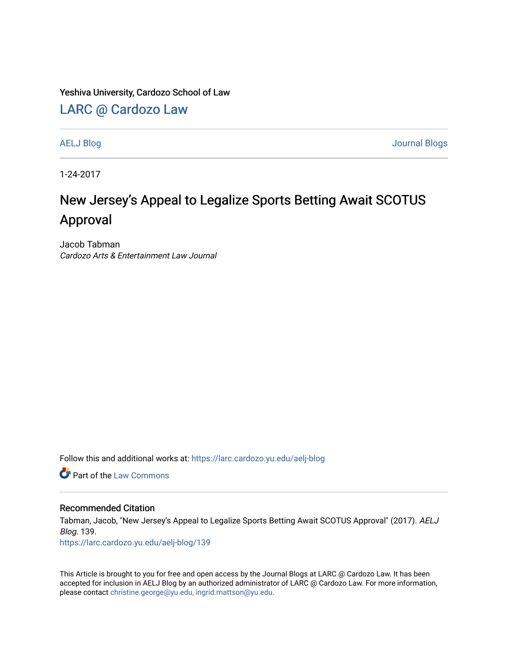Yeshiva University, Cardozo School of Law

[LARC @ Cardozo Law](https://larc.cardozo.yu.edu/)

[AELJ Blog](https://larc.cardozo.yu.edu/aelj-blog) [Journal Blogs](https://larc.cardozo.yu.edu/journal-blogs) 

1-24-2017

## New Jersey's Appeal to Legalize Sports Betting Await SCOTUS Approval

Jacob Tabman Cardozo Arts & Entertainment Law Journal

Follow this and additional works at: [https://larc.cardozo.yu.edu/aelj-blog](https://larc.cardozo.yu.edu/aelj-blog?utm_source=larc.cardozo.yu.edu%2Faelj-blog%2F139&utm_medium=PDF&utm_campaign=PDFCoverPages) 

**C** Part of the [Law Commons](http://network.bepress.com/hgg/discipline/578?utm_source=larc.cardozo.yu.edu%2Faelj-blog%2F139&utm_medium=PDF&utm_campaign=PDFCoverPages)

## Recommended Citation

Tabman, Jacob, "New Jersey's Appeal to Legalize Sports Betting Await SCOTUS Approval" (2017). AELJ Blog. 139.

[https://larc.cardozo.yu.edu/aelj-blog/139](https://larc.cardozo.yu.edu/aelj-blog/139?utm_source=larc.cardozo.yu.edu%2Faelj-blog%2F139&utm_medium=PDF&utm_campaign=PDFCoverPages) 

This Article is brought to you for free and open access by the Journal Blogs at LARC @ Cardozo Law. It has been accepted for inclusion in AELJ Blog by an authorized administrator of LARC @ Cardozo Law. For more information, please contact [christine.george@yu.edu, ingrid.mattson@yu.edu.](mailto:christine.george@yu.edu,%20ingrid.mattson@yu.edu)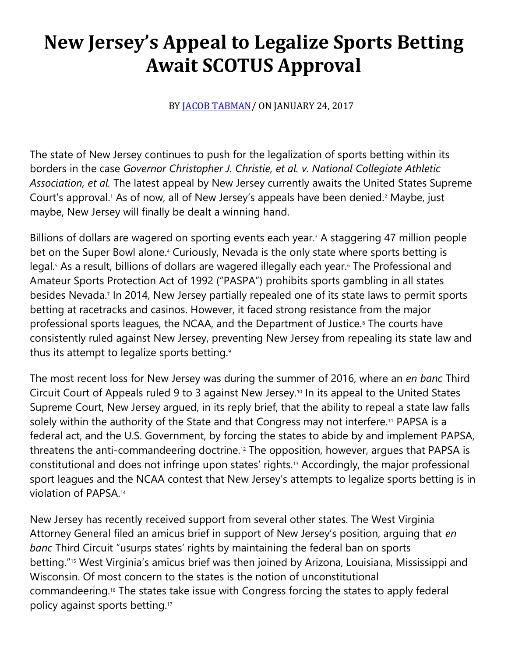## **New Jersey's Appeal to Legalize Sports Betting Await SCOTUS Approval**

BY **JACOB TABMAN**/ ON JANUARY 24, 2017

The state of New Jersey continues to push for the legalization of sports betting within its borders in the case *Governor Christopher J. Christie, et al. v. National Collegiate Athletic Association, et al.* The latest appeal by New Jersey currently awaits the United States Supreme Court's approval.<sup>1</sup> As of now, all of New Jersey's appeals have been denied.<sup>2</sup> Maybe, just maybe, New Jersey will finally be dealt a winning hand.

Billions of dollars are wagered on sporting events each year.<sup>3</sup> A staggering 47 million people bet on the Super Bowl alone.<sup>4</sup> Curiously, Nevada is the only state where sports betting is legal.<sup>5</sup> As a result, billions of dollars are wagered illegally each year.<sup>6</sup> The Professional and Amateur Sports Protection Act of 1992 ("PASPA") prohibits sports gambling in all states besides Nevada.<sup>7</sup> In 2014, New Jersey partially repealed one of its state laws to permit sports betting at racetracks and casinos. However, it faced strong resistance from the major professional sports leagues, the NCAA, and the Department of Justice.<sup>8</sup> The courts have consistently ruled against New Jersey, preventing New Jersey from repealing its state law and thus its attempt to legalize sports betting.<sup>9</sup>

The most recent loss for New Jersey was during the summer of 2016, where an *en banc* Third Circuit Court of Appeals ruled 9 to 3 against New Jersey.<sup>10</sup> In its appeal to the United States Supreme Court, New Jersey argued, in its reply brief, that the ability to repeal a state law falls solely within the authority of the State and that Congress may not interfere.<sup>11</sup> PAPSA is a federal act, and the U.S. Government, by forcing the states to abide by and implement PAPSA, threatens the anti-commandeering doctrine.<sup>12</sup> The opposition, however, argues that PAPSA is constitutional and does not infringe upon states' rights.<sup>13</sup> Accordingly, the major professional sport leagues and the NCAA contest that New Jersey's attempts to legalize sports betting is in violation of PAPSA.<sup>14</sup>

New Jersey has recently received support from several other states. The West Virginia Attorney General filed an amicus brief in support of New Jersey's position, arguing that *en banc* Third Circuit "usurps states' rights by maintaining the federal ban on sports betting."<sup>15</sup> West Virginia's amicus brief was then joined by Arizona, Louisiana, Mississippi and Wisconsin. Of most concern to the states is the notion of unconstitutional commandeering.<sup>16</sup> The states take issue with Congress forcing the states to apply federal policy against sports betting.17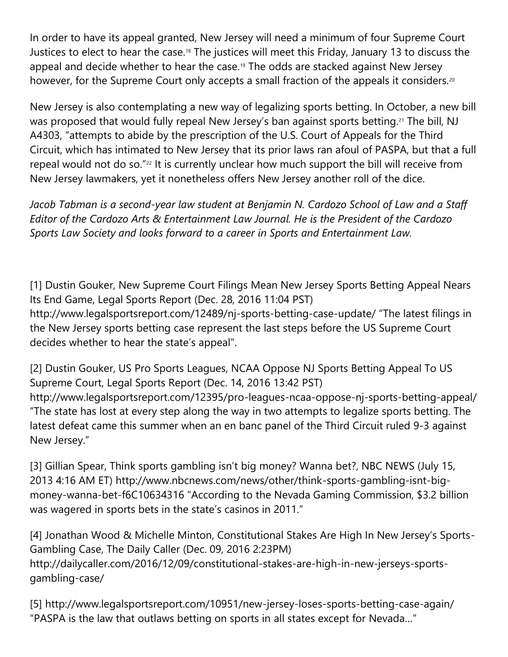In order to have its appeal granted, New Jersey will need a minimum of four Supreme Court Justices to elect to hear the case.<sup>18</sup> The justices will meet this Friday, January 13 to discuss the appeal and decide whether to hear the case.<sup>19</sup> The odds are stacked against New Jersey however, for the Supreme Court only accepts a small fraction of the appeals it considers.<sup>20</sup>

New Jersey is also contemplating a new way of legalizing sports betting. In October, a new bill was proposed that would fully repeal New Jersey's ban against sports betting.<sup>21</sup> The bill, NJ A4303, "attempts to abide by the prescription of the U.S. Court of Appeals for the Third Circuit, which has intimated to New Jersey that its prior laws ran afoul of PASPA, but that a full repeal would not do so."<sup>22</sup> It is currently unclear how much support the bill will receive from New Jersey lawmakers, yet it nonetheless offers New Jersey another roll of the dice.

*Jacob Tabman is a second-year law student at Benjamin N. Cardozo School of Law and a Staff Editor of the Cardozo Arts & Entertainment Law Journal. He is the President of the Cardozo Sports Law Society and looks forward to a career in Sports and Entertainment Law.*

[1] Dustin Gouker, New Supreme Court Filings Mean New Jersey Sports Betting Appeal Nears Its End Game, Legal Sports Report (Dec. 28, 2016 11:04 PST) http://www.legalsportsreport.com/12489/nj-sports-betting-case-update/ "The latest filings in the New Jersey sports betting case represent the last steps before the US Supreme Court decides whether to hear the state's appeal".

[2] Dustin Gouker, US Pro Sports Leagues, NCAA Oppose NJ Sports Betting Appeal To US Supreme Court, Legal Sports Report (Dec. 14, 2016 13:42 PST) http://www.legalsportsreport.com/12395/pro-leagues-ncaa-oppose-nj-sports-betting-appeal/ "The state has lost at every step along the way in two attempts to legalize sports betting. The latest defeat came this summer when an en banc panel of the Third Circuit ruled 9-3 against New Jersey."

[3] Gillian Spear, Think sports gambling isn't big money? Wanna bet?, NBC NEWS (July 15, 2013 4:16 AM ET) http://www.nbcnews.com/news/other/think-sports-gambling-isnt-bigmoney-wanna-bet-f6C10634316 "According to the Nevada Gaming Commission, \$3.2 billion was wagered in sports bets in the state's casinos in 2011."

[4] Jonathan Wood & Michelle Minton, Constitutional Stakes Are High In New Jersey's Sports-Gambling Case, The Daily Caller (Dec. 09, 2016 2:23PM) http://dailycaller.com/2016/12/09/constitutional-stakes-are-high-in-new-jerseys-sportsgambling-case/

[5] http://www.legalsportsreport.com/10951/new-jersey-loses-sports-betting-case-again/ "PASPA is the law that outlaws betting on sports in all states except for Nevada…"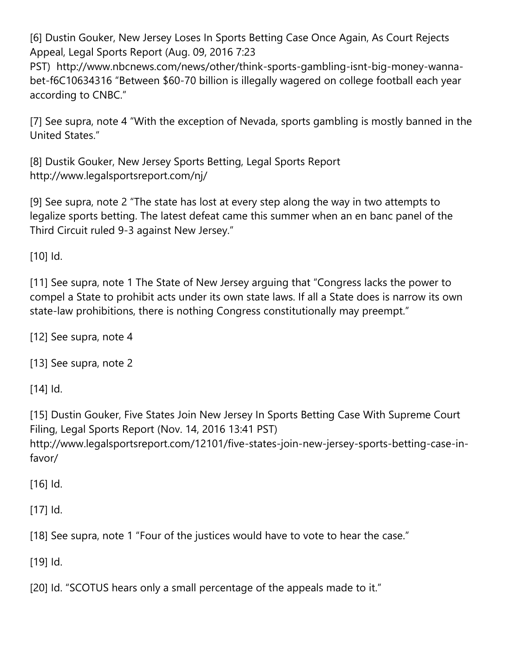[6] Dustin Gouker, New Jersey Loses In Sports Betting Case Once Again, As Court Rejects Appeal, Legal Sports Report (Aug. 09, 2016 7:23

PST) http://www.nbcnews.com/news/other/think-sports-gambling-isnt-big-money-wannabet-f6C10634316 "Between \$60-70 billion is illegally wagered on college football each year according to CNBC."

[7] See supra, note 4 "With the exception of Nevada, sports gambling is mostly banned in the United States."

[8] Dustik Gouker, New Jersey Sports Betting, Legal Sports Report http://www.legalsportsreport.com/nj/

[9] See supra, note 2 "The state has lost at every step along the way in two attempts to legalize sports betting. The latest defeat came this summer when an en banc panel of the Third Circuit ruled 9-3 against New Jersey."

[10] Id.

[11] See supra, note 1 The State of New Jersey arguing that "Congress lacks the power to compel a State to prohibit acts under its own state laws. If all a State does is narrow its own state-law prohibitions, there is nothing Congress constitutionally may preempt."

[12] See supra, note 4

[13] See supra, note 2

[14] Id.

[15] Dustin Gouker, Five States Join New Jersey In Sports Betting Case With Supreme Court Filing, Legal Sports Report (Nov. 14, 2016 13:41 PST) http://www.legalsportsreport.com/12101/five-states-join-new-jersey-sports-betting-case-infavor/

[16] Id.

[17] Id.

[18] See supra, note 1 "Four of the justices would have to vote to hear the case."

[19] Id.

[20] Id. "SCOTUS hears only a small percentage of the appeals made to it."